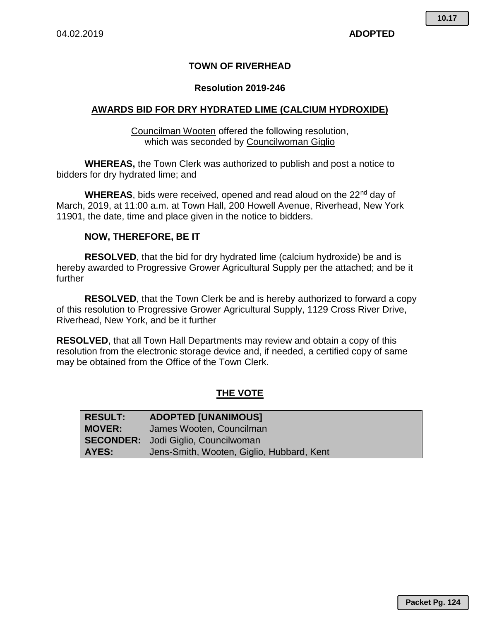#### **TOWN OF RIVERHEAD**

#### **Resolution 2019-246**

#### **AWARDS BID FOR DRY HYDRATED LIME (CALCIUM HYDROXIDE)**

Councilman Wooten offered the following resolution, which was seconded by Councilwoman Giglio

**WHEREAS,** the Town Clerk was authorized to publish and post a notice to bidders for dry hydrated lime; and

WHEREAS, bids were received, opened and read aloud on the 22<sup>nd</sup> day of March, 2019, at 11:00 a.m. at Town Hall, 200 Howell Avenue, Riverhead, New York 11901, the date, time and place given in the notice to bidders.

#### **NOW, THEREFORE, BE IT**

**RESOLVED**, that the bid for dry hydrated lime (calcium hydroxide) be and is hereby awarded to Progressive Grower Agricultural Supply per the attached; and be it further

**RESOLVED**, that the Town Clerk be and is hereby authorized to forward a copy of this resolution to Progressive Grower Agricultural Supply, 1129 Cross River Drive, Riverhead, New York, and be it further

**RESOLVED**, that all Town Hall Departments may review and obtain a copy of this resolution from the electronic storage device and, if needed, a certified copy of same may be obtained from the Office of the Town Clerk.

#### **THE VOTE**

| <b>RESULT:</b> | <b>ADOPTED [UNANIMOUS]</b>                 |
|----------------|--------------------------------------------|
| <b>MOVER:</b>  | James Wooten, Councilman                   |
|                | <b>SECONDER:</b> Jodi Giglio, Councilwoman |
| AYES:          | Jens-Smith, Wooten, Giglio, Hubbard, Kent  |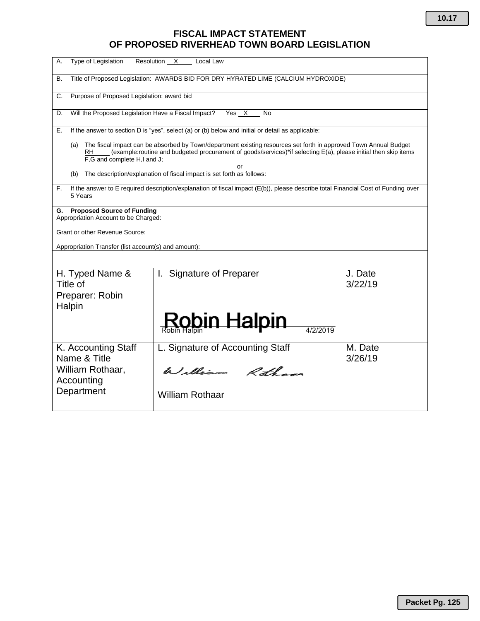## **FISCAL IMPACT STATEMENT OF PROPOSED RIVERHEAD TOWN BOARD LEGISLATION**

| Type of Legislation<br>А.<br>Resolution X<br>Local Law                                                                                                                                                                                                                           |                                  |                    |  |  |
|----------------------------------------------------------------------------------------------------------------------------------------------------------------------------------------------------------------------------------------------------------------------------------|----------------------------------|--------------------|--|--|
| Title of Proposed Legislation: AWARDS BID FOR DRY HYRATED LIME (CALCIUM HYDROXIDE)<br>В.                                                                                                                                                                                         |                                  |                    |  |  |
| Purpose of Proposed Legislation: award bid<br>C.                                                                                                                                                                                                                                 |                                  |                    |  |  |
| Will the Proposed Legislation Have a Fiscal Impact?<br>Yes X<br>D.<br>No.                                                                                                                                                                                                        |                                  |                    |  |  |
| If the answer to section D is "yes", select (a) or (b) below and initial or detail as applicable:<br>Е.                                                                                                                                                                          |                                  |                    |  |  |
| The fiscal impact can be absorbed by Town/department existing resources set forth in approved Town Annual Budget<br>(a)<br>(example: routine and budgeted procurement of goods/services)*if selecting E(a), please initial then skip items<br>RH.<br>F.G and complete H.I and J. |                                  |                    |  |  |
| or<br>The description/explanation of fiscal impact is set forth as follows:<br>(b)                                                                                                                                                                                               |                                  |                    |  |  |
| If the answer to E required description/explanation of fiscal impact (E(b)), please describe total Financial Cost of Funding over<br>F.<br>5 Years                                                                                                                               |                                  |                    |  |  |
| <b>Proposed Source of Funding</b><br>G.<br>Appropriation Account to be Charged:                                                                                                                                                                                                  |                                  |                    |  |  |
| Grant or other Revenue Source:                                                                                                                                                                                                                                                   |                                  |                    |  |  |
| Appropriation Transfer (list account(s) and amount):                                                                                                                                                                                                                             |                                  |                    |  |  |
|                                                                                                                                                                                                                                                                                  |                                  |                    |  |  |
| H. Typed Name &<br>Title of<br>Preparer: Robin                                                                                                                                                                                                                                   | I. Signature of Preparer         | J. Date<br>3/22/19 |  |  |
| Halpin                                                                                                                                                                                                                                                                           | obin Halpin<br>4/2/2019          |                    |  |  |
| K. Accounting Staff                                                                                                                                                                                                                                                              | L. Signature of Accounting Staff | M. Date            |  |  |
| Name & Title<br>William Rothaar,<br>Accounting                                                                                                                                                                                                                                   | William Rotham                   | 3/26/19            |  |  |
| Department                                                                                                                                                                                                                                                                       | <b>William Rothaar</b>           |                    |  |  |